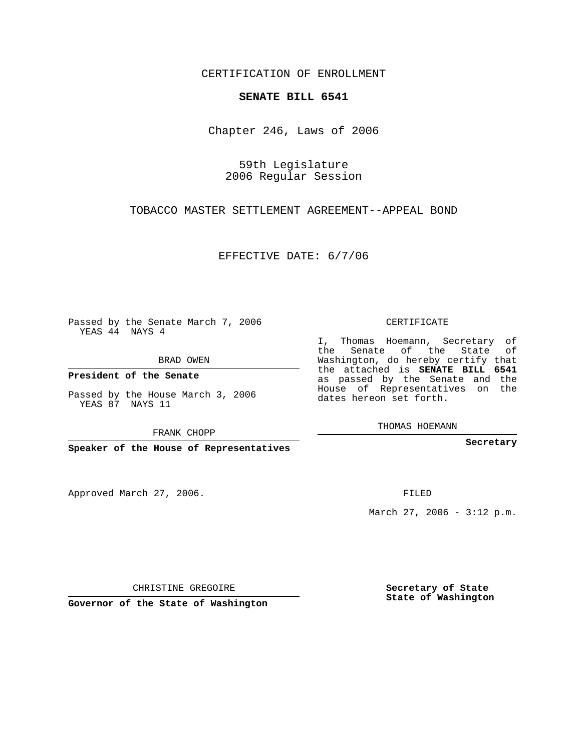CERTIFICATION OF ENROLLMENT

## **SENATE BILL 6541**

Chapter 246, Laws of 2006

59th Legislature 2006 Regular Session

TOBACCO MASTER SETTLEMENT AGREEMENT--APPEAL BOND

EFFECTIVE DATE: 6/7/06

Passed by the Senate March 7, 2006 YEAS 44 NAYS 4

BRAD OWEN

**President of the Senate**

Passed by the House March 3, 2006 YEAS 87 NAYS 11

FRANK CHOPP

**Speaker of the House of Representatives**

Approved March 27, 2006.

CERTIFICATE

I, Thomas Hoemann, Secretary of the Senate of the State of Washington, do hereby certify that the attached is **SENATE BILL 6541** as passed by the Senate and the House of Representatives on the dates hereon set forth.

THOMAS HOEMANN

**Secretary**

FILED

March 27, 2006 -  $3:12$  p.m.

CHRISTINE GREGOIRE

**Governor of the State of Washington**

**Secretary of State State of Washington**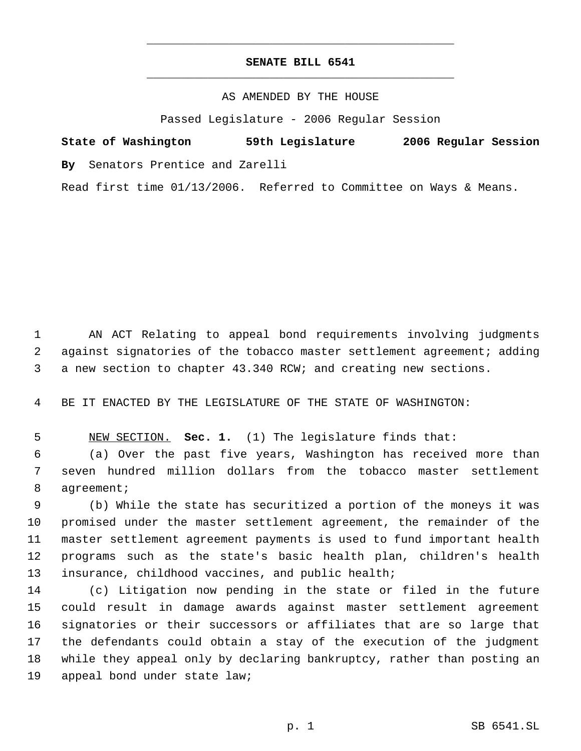## **SENATE BILL 6541** \_\_\_\_\_\_\_\_\_\_\_\_\_\_\_\_\_\_\_\_\_\_\_\_\_\_\_\_\_\_\_\_\_\_\_\_\_\_\_\_\_\_\_\_\_

\_\_\_\_\_\_\_\_\_\_\_\_\_\_\_\_\_\_\_\_\_\_\_\_\_\_\_\_\_\_\_\_\_\_\_\_\_\_\_\_\_\_\_\_\_

AS AMENDED BY THE HOUSE

Passed Legislature - 2006 Regular Session

**State of Washington 59th Legislature 2006 Regular Session By** Senators Prentice and Zarelli

Read first time 01/13/2006. Referred to Committee on Ways & Means.

 AN ACT Relating to appeal bond requirements involving judgments against signatories of the tobacco master settlement agreement; adding a new section to chapter 43.340 RCW; and creating new sections.

BE IT ENACTED BY THE LEGISLATURE OF THE STATE OF WASHINGTON:

NEW SECTION. **Sec. 1.** (1) The legislature finds that:

 (a) Over the past five years, Washington has received more than seven hundred million dollars from the tobacco master settlement 8 agreement;

 (b) While the state has securitized a portion of the moneys it was promised under the master settlement agreement, the remainder of the master settlement agreement payments is used to fund important health programs such as the state's basic health plan, children's health insurance, childhood vaccines, and public health;

 (c) Litigation now pending in the state or filed in the future could result in damage awards against master settlement agreement signatories or their successors or affiliates that are so large that the defendants could obtain a stay of the execution of the judgment while they appeal only by declaring bankruptcy, rather than posting an appeal bond under state law;